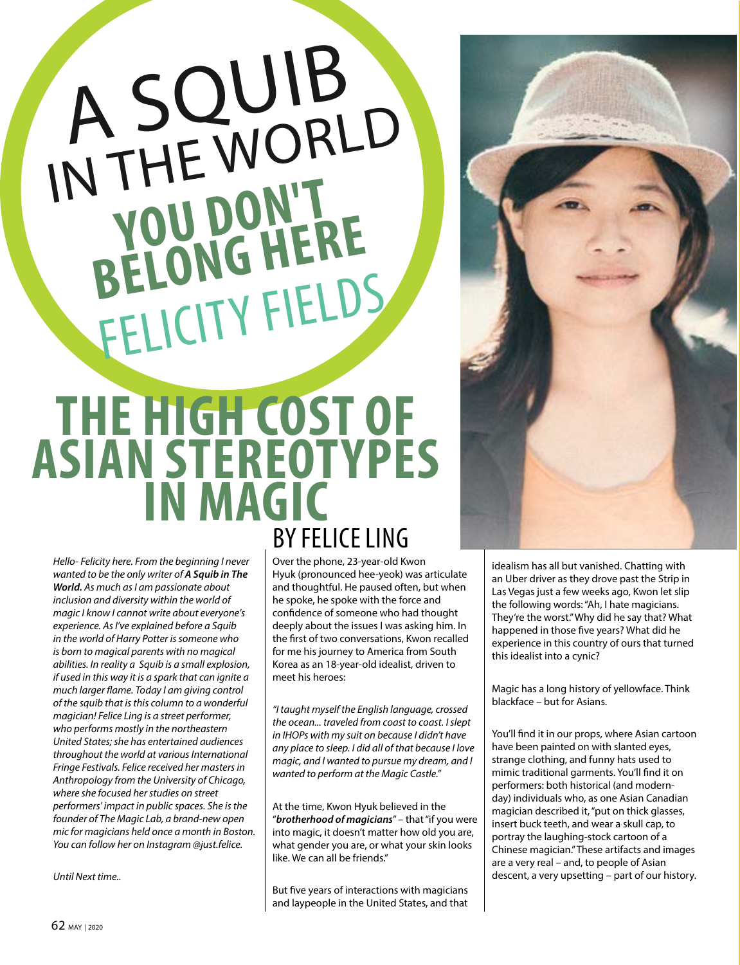## A SQUIB IN THE WORLD FELICITY FIELDS YOU DON'T **BELONG HERE**

## **THE HIGH COST OF ASIAN STEREOTYPES IN MAGIC** BY FELICE LING

*Hello- Felicity here. From the beginning I never wanted to be the only writer of A Squib in The World. As much as I am passionate about inclusion and diversity within the world of magic I know I cannot write about everyone's experience. As I've explained before a Squib in the world of Harry Potter is someone who is born to magical parents with no magical abilities. In reality a Squib is a small explosion, if used in this way it is a spark that can ignite a much larger flame. Today I am giving control of the squib that is this column to a wonderful magician! Felice Ling is a street performer, who performs mostly in the northeastern United States; she has entertained audiences throughout the world at various International Fringe Festivals. Felice received her masters in Anthropology from the University of Chicago, where she focused her studies on street performers' impact in public spaces. She is the founder of The Magic Lab, a brand-new open mic for magicians held once a month in Boston. You can follow her on Instagram [@just.felice.](http://just.felice)* 

*Until Next time..* 

Over the phone, 23-year-old Kwon Hyuk (pronounced hee-yeok) was articulate and thoughtful. He paused often, but when he spoke, he spoke with the force and confidence of someone who had thought deeply about the issues I was asking him. In the first of two conversations, Kwon recalled for me his journey to America from South Korea as an 18-year-old idealist, driven to meet his heroes:

*"I taught myself the English language, crossed the ocean... traveled from coast to coast. I slept in IHOPs with my suit on because I didn't have any place to sleep. I did all of that because I love magic, and I wanted to pursue my dream, and I wanted to perform at the Magic Castle."*

At the time, Kwon Hyuk believed in the "*brotherhood of magicians*" – that "if you were into magic, it doesn't matter how old you are, what gender you are, or what your skin looks like. We can all be friends."

But five years of interactions with magicians and laypeople in the United States, and that idealism has all but vanished. Chatting with an Uber driver as they drove past the Strip in Las Vegas just a few weeks ago, Kwon let slip the following words: "Ah, I hate magicians. They're the worst." Why did he say that? What happened in those five years? What did he experience in this country of ours that turned this idealist into a cynic?

Magic has a long history of yellowface. Think blackface – but for Asians.

You'll find it in our props, where Asian cartoon have been painted on with slanted eyes, strange clothing, and funny hats used to mimic traditional garments. You'll find it on performers: both historical (and modernday) individuals who, as one Asian Canadian magician described it, "put on thick glasses, insert buck teeth, and wear a skull cap, to portray the laughing-stock cartoon of a Chinese magician." These artifacts and images are a very real – and, to people of Asian descent, a very upsetting – part of our history.